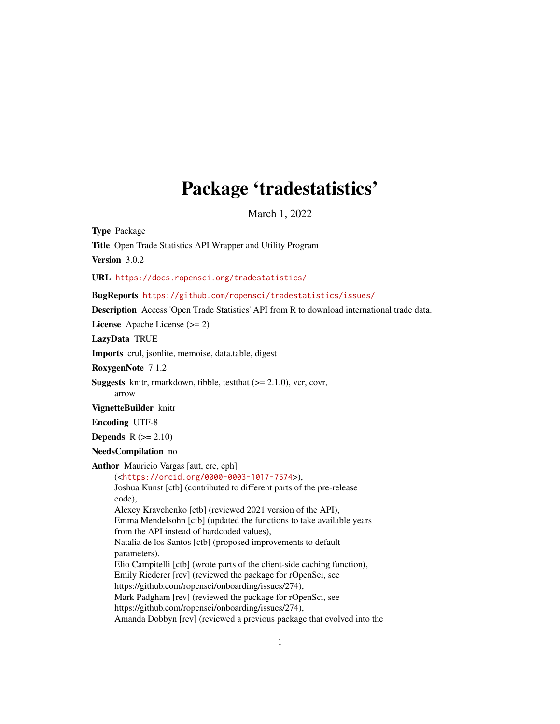## Package 'tradestatistics'

March 1, 2022

Title Open Trade Statistics API Wrapper and Utility Program Version 3.0.2 URL <https://docs.ropensci.org/tradestatistics/> BugReports <https://github.com/ropensci/tradestatistics/issues/> Description Access 'Open Trade Statistics' API from R to download international trade data. License Apache License (>= 2) LazyData TRUE Imports crul, jsonlite, memoise, data.table, digest RoxygenNote 7.1.2 **Suggests** knitr, rmarkdown, tibble, test that  $(>= 2.1.0)$ , vcr, covr, arrow VignetteBuilder knitr Encoding UTF-8 **Depends**  $R$  ( $>= 2.10$ ) NeedsCompilation no Author Mauricio Vargas [aut, cre, cph] (<<https://orcid.org/0000-0003-1017-7574>>), Joshua Kunst [ctb] (contributed to different parts of the pre-release code), Alexey Kravchenko [ctb] (reviewed 2021 version of the API), Emma Mendelsohn [ctb] (updated the functions to take available years from the API instead of hardcoded values), Natalia de los Santos [ctb] (proposed improvements to default parameters), Elio Campitelli [ctb] (wrote parts of the client-side caching function), Emily Riederer [rev] (reviewed the package for rOpenSci, see https://github.com/ropensci/onboarding/issues/274), Mark Padgham [rev] (reviewed the package for rOpenSci, see https://github.com/ropensci/onboarding/issues/274), Amanda Dobbyn [rev] (reviewed a previous package that evolved into the

Type Package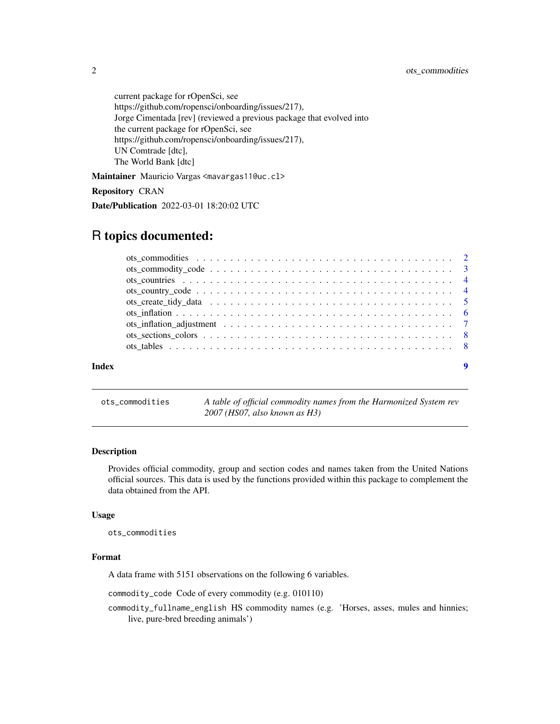current package for rOpenSci, see https://github.com/ropensci/onboarding/issues/217), Jorge Cimentada [rev] (reviewed a previous package that evolved into the current package for rOpenSci, see https://github.com/ropensci/onboarding/issues/217), UN Comtrade [dtc], The World Bank [dtc]

Maintainer Mauricio Vargas <mavargas11@uc.cl> Repository CRAN Date/Publication 2022-03-01 18:20:02 UTC

### R topics documented:

|       | ots commodities $\ldots \ldots \ldots \ldots \ldots \ldots \ldots \ldots \ldots \ldots \ldots \ldots \ldots$ |
|-------|--------------------------------------------------------------------------------------------------------------|
|       |                                                                                                              |
|       |                                                                                                              |
|       |                                                                                                              |
|       |                                                                                                              |
|       |                                                                                                              |
|       |                                                                                                              |
|       |                                                                                                              |
|       |                                                                                                              |
|       |                                                                                                              |
| Index |                                                                                                              |

ots\_commodities *A table of official commodity names from the Harmonized System rev 2007 (HS07, also known as H3)*

#### Description

Provides official commodity, group and section codes and names taken from the United Nations official sources. This data is used by the functions provided within this package to complement the data obtained from the API.

#### Usage

ots\_commodities

#### Format

A data frame with 5151 observations on the following 6 variables.

commodity\_code Code of every commodity (e.g. 010110)

commodity\_fullname\_english HS commodity names (e.g. 'Horses, asses, mules and hinnies; live, pure-bred breeding animals')

<span id="page-1-0"></span>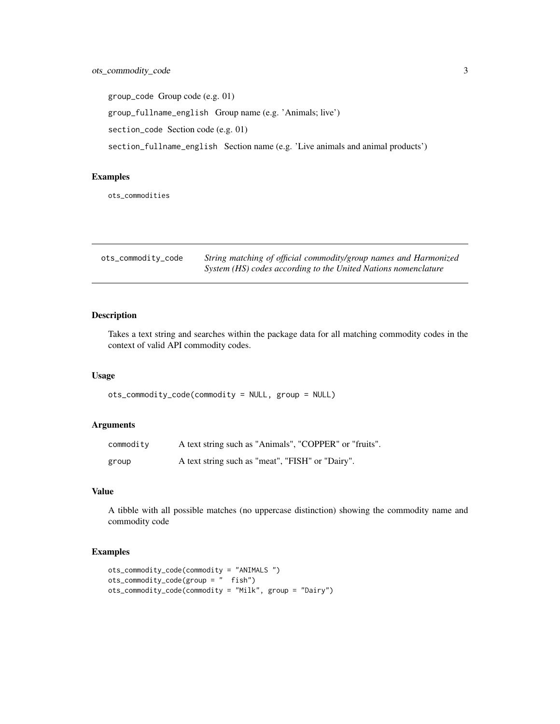<span id="page-2-0"></span>group\_code Group code (e.g. 01) group\_fullname\_english Group name (e.g. 'Animals; live') section\_code Section code (e.g. 01) section\_fullname\_english Section name (e.g. 'Live animals and animal products')

#### Examples

ots\_commodities

| ots_commodity_code | String matching of official commodity/group names and Harmonized |
|--------------------|------------------------------------------------------------------|
|                    | System (HS) codes according to the United Nations nomenclature   |

#### Description

Takes a text string and searches within the package data for all matching commodity codes in the context of valid API commodity codes.

#### Usage

ots\_commodity\_code(commodity = NULL, group = NULL)

#### Arguments

| commodity | A text string such as "Animals", "COPPER" or "fruits". |
|-----------|--------------------------------------------------------|
| group     | A text string such as "meat", "FISH" or "Dairy".       |

#### Value

A tibble with all possible matches (no uppercase distinction) showing the commodity name and commodity code

#### Examples

```
ots_commodity_code(commodity = "ANIMALS ")
ots_commodity_code(group = " fish")
ots_commodity_code(commodity = "Milk", group = "Dairy")
```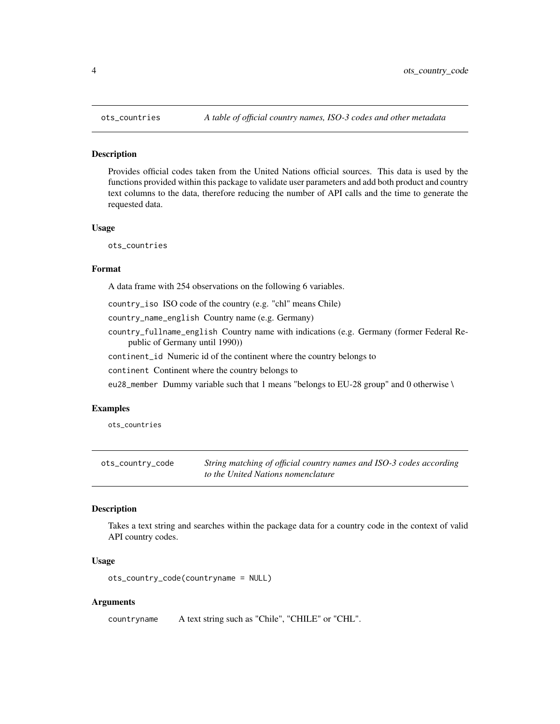<span id="page-3-0"></span>

#### Description

Provides official codes taken from the United Nations official sources. This data is used by the functions provided within this package to validate user parameters and add both product and country text columns to the data, therefore reducing the number of API calls and the time to generate the requested data.

#### Usage

ots\_countries

#### Format

A data frame with 254 observations on the following 6 variables.

country\_iso ISO code of the country (e.g. "chl" means Chile)

country\_name\_english Country name (e.g. Germany)

country\_fullname\_english Country name with indications (e.g. Germany (former Federal Republic of Germany until 1990))

continent\_id Numeric id of the continent where the country belongs to

continent Continent where the country belongs to

eu28\_member Dummy variable such that 1 means "belongs to EU-28 group" and 0 otherwise \

#### Examples

ots\_countries

| ots_country_code | String matching of official country names and ISO-3 codes according |
|------------------|---------------------------------------------------------------------|
|                  | to the United Nations nomenclature                                  |

#### Description

Takes a text string and searches within the package data for a country code in the context of valid API country codes.

#### Usage

ots\_country\_code(countryname = NULL)

#### Arguments

countryname A text string such as "Chile", "CHILE" or "CHL".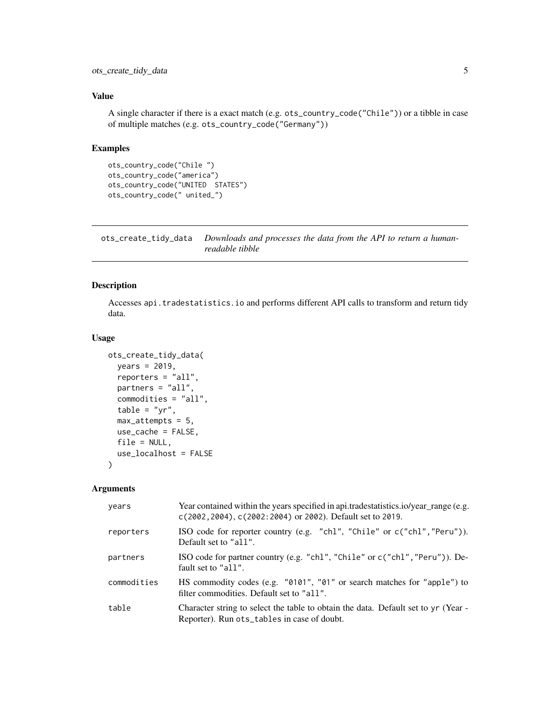#### <span id="page-4-0"></span>Value

A single character if there is a exact match (e.g. ots\_country\_code("Chile")) or a tibble in case of multiple matches (e.g. ots\_country\_code("Germany"))

#### Examples

```
ots_country_code("Chile ")
ots_country_code("america")
ots_country_code("UNITED STATES")
ots_country_code(" united_")
```
ots\_create\_tidy\_data *Downloads and processes the data from the API to return a humanreadable tibble*

#### Description

Accesses api.tradestatistics.io and performs different API calls to transform and return tidy data.

#### Usage

```
ots_create_tidy_data(
  years = 2019,
  reporters = "all",
  partners = "all",commodities = "all",
  table = "yr",
  max\_attemps = 5,use_cache = FALSE,
  file = NULL,
  use_localhost = FALSE
)
```
#### Arguments

| years       | Year contained within the years specified in api.tradestatistics.io/year_range (e.g.<br>$c(2002, 2004), c(2002, 2004)$ or 2002). Default set to 2019. |
|-------------|-------------------------------------------------------------------------------------------------------------------------------------------------------|
| reporters   | ISO code for reporter country (e.g. "chl", "Chile" or c("chl", "Peru")).<br>Default set to "all".                                                     |
| partners    | ISO code for partner country (e.g. "ch1", "Chile" or c("ch1", "Peru")). De-<br>fault set to "all".                                                    |
| commodities | HS commodity codes (e.g. "0101", "01" or search matches for "apple") to<br>filter commodities. Default set to "all".                                  |
| table       | Character string to select the table to obtain the data. Default set to yr (Year -<br>Reporter). Run ots_tables in case of doubt.                     |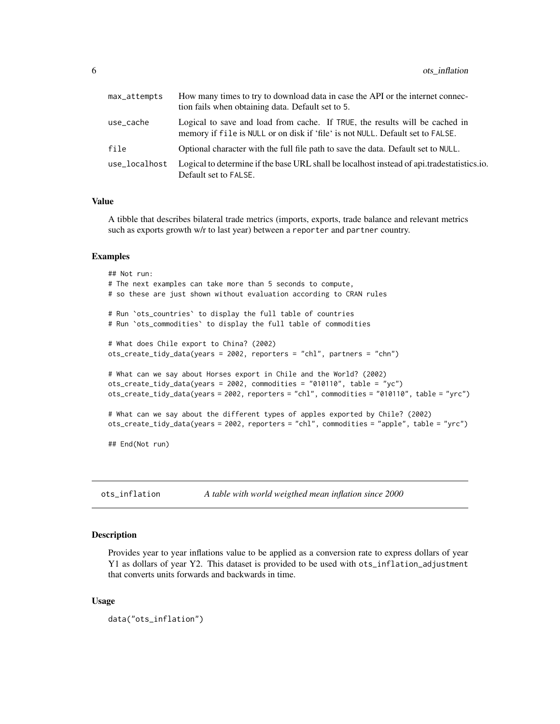<span id="page-5-0"></span>

| max_attempts  | How many times to try to download data in case the API or the internet connec-<br>tion fails when obtaining data. Default set to 5.                           |
|---------------|---------------------------------------------------------------------------------------------------------------------------------------------------------------|
| use_cache     | Logical to save and load from cache. If TRUE, the results will be cached in<br>memory if file is NULL or on disk if 'file' is not NULL. Default set to FALSE. |
| file          | Optional character with the full file path to save the data. Default set to NULL.                                                                             |
| use_localhost | Logical to determine if the base URL shall be local host instead of api.tradestatistics.io.<br>Default set to FALSE.                                          |

#### Value

A tibble that describes bilateral trade metrics (imports, exports, trade balance and relevant metrics such as exports growth w/r to last year) between a reporter and partner country.

#### Examples

```
## Not run:
# The next examples can take more than 5 seconds to compute,
# so these are just shown without evaluation according to CRAN rules
# Run `ots_countries` to display the full table of countries
# Run `ots_commodities` to display the full table of commodities
# What does Chile export to China? (2002)
ots_create_tidy_data(years = 2002, reporters = "chl", partners = "chn")
# What can we say about Horses export in Chile and the World? (2002)
ots_create_tidy_data(years = 2002, commodities = "010110", table = "yc")
ots_create_tidy_data(years = 2002, reporters = "chl", commodities = "010110", table = "yrc")
# What can we say about the different types of apples exported by Chile? (2002)
ots_create_tidy_data(years = 2002, reporters = "chl", commodities = "apple", table = "yrc")
## End(Not run)
```
ots\_inflation *A table with world weigthed mean inflation since 2000*

#### Description

Provides year to year inflations value to be applied as a conversion rate to express dollars of year Y1 as dollars of year Y2. This dataset is provided to be used with ots\_inflation\_adjustment that converts units forwards and backwards in time.

#### Usage

```
data("ots_inflation")
```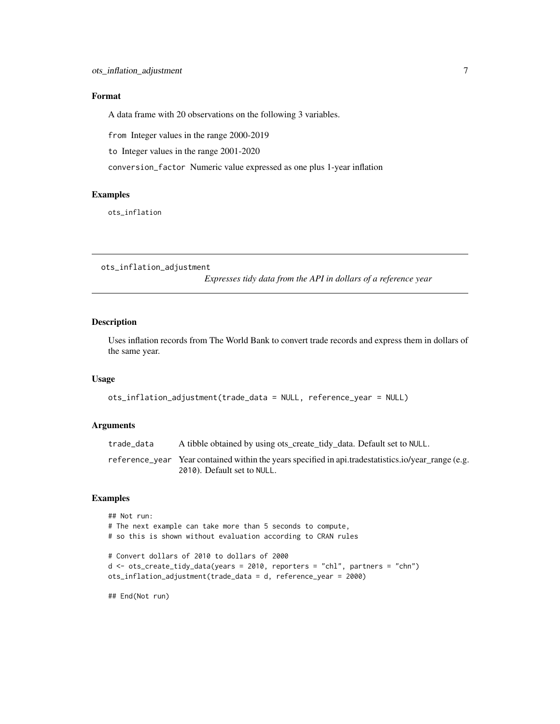#### <span id="page-6-0"></span>Format

A data frame with 20 observations on the following 3 variables.

from Integer values in the range 2000-2019

to Integer values in the range 2001-2020

conversion\_factor Numeric value expressed as one plus 1-year inflation

#### Examples

ots\_inflation

ots\_inflation\_adjustment

*Expresses tidy data from the API in dollars of a reference year*

#### Description

Uses inflation records from The World Bank to convert trade records and express them in dollars of the same year.

#### Usage

```
ots_inflation_adjustment(trade_data = NULL, reference_year = NULL)
```
#### Arguments

| trade data | A tibble obtained by using ots_create_tidy_data. Default set to NULL.                               |
|------------|-----------------------------------------------------------------------------------------------------|
|            | reference_year Year contained within the years specified in api.tradestatistics.io/year_range (e.g. |
|            | 2010). Default set to NULL.                                                                         |

#### Examples

```
## Not run:
# The next example can take more than 5 seconds to compute,
# so this is shown without evaluation according to CRAN rules
# Convert dollars of 2010 to dollars of 2000
d <- ots_create_tidy_data(years = 2010, reporters = "chl", partners = "chn")
ots_inflation_adjustment(trade_data = d, reference_year = 2000)
## End(Not run)
```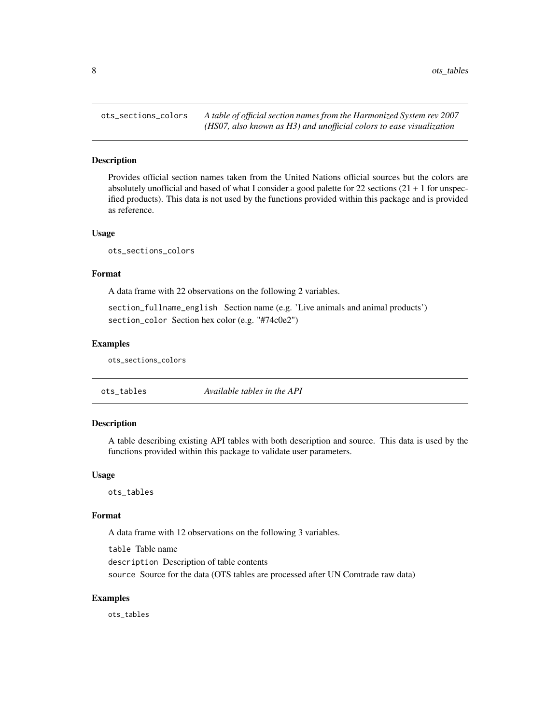<span id="page-7-0"></span>

#### Description

Provides official section names taken from the United Nations official sources but the colors are absolutely unofficial and based of what I consider a good palette for 22 sections  $(21 + 1$  for unspecified products). This data is not used by the functions provided within this package and is provided as reference.

#### Usage

ots\_sections\_colors

#### Format

A data frame with 22 observations on the following 2 variables.

section\_fullname\_english Section name (e.g. 'Live animals and animal products') section\_color Section hex color (e.g. "#74c0e2")

#### Examples

ots\_sections\_colors

ots\_tables *Available tables in the API*

#### Description

A table describing existing API tables with both description and source. This data is used by the functions provided within this package to validate user parameters.

#### Usage

ots\_tables

#### Format

A data frame with 12 observations on the following 3 variables.

table Table name description Description of table contents source Source for the data (OTS tables are processed after UN Comtrade raw data)

#### Examples

ots\_tables